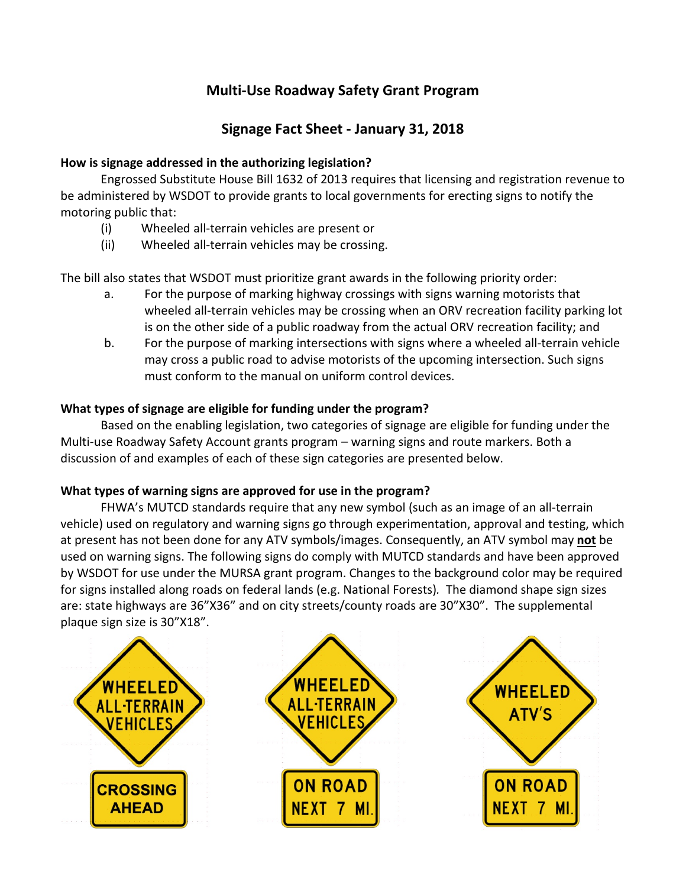# **Multi-Use Roadway Safety Grant Program**

## **Signage Fact Sheet - January 31, 2018**

### **How is signage addressed in the authorizing legislation?**

Engrossed Substitute House Bill 1632 of 2013 requires that licensing and registration revenue to be administered by WSDOT to provide grants to local governments for erecting signs to notify the motoring public that:

- (i) Wheeled all-terrain vehicles are present or
- (ii) Wheeled all-terrain vehicles may be crossing.

The bill also states that WSDOT must prioritize grant awards in the following priority order:

- a. For the purpose of marking highway crossings with signs warning motorists that wheeled all-terrain vehicles may be crossing when an ORV recreation facility parking lot is on the other side of a public roadway from the actual ORV recreation facility; and
- b. For the purpose of marking intersections with signs where a wheeled all-terrain vehicle may cross a public road to advise motorists of the upcoming intersection. Such signs must conform to the manual on uniform control devices.

### **What types of signage are eligible for funding under the program?**

Based on the enabling legislation, two categories of signage are eligible for funding under the Multi-use Roadway Safety Account grants program – warning signs and route markers. Both a discussion of and examples of each of these sign categories are presented below.

#### **What types of warning signs are approved for use in the program?**

FHWA's MUTCD standards require that any new symbol (such as an image of an all-terrain vehicle) used on regulatory and warning signs go through experimentation, approval and testing, which at present has not been done for any ATV symbols/images. Consequently, an ATV symbol may **not** be used on warning signs. The following signs do comply with MUTCD standards and have been approved by WSDOT for use under the MURSA grant program. Changes to the background color may be required for signs installed along roads on federal lands (e.g. National Forests)*.* The diamond shape sign sizes are: state highways are 36"X36" and on city streets/county roads are 30"X30". The supplemental plaque sign size is 30"X18".